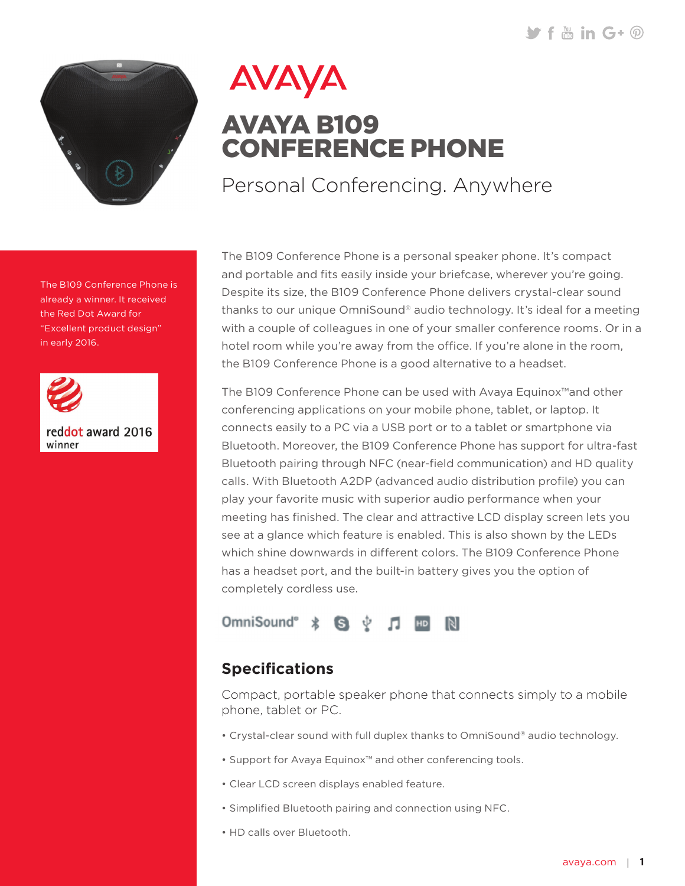$\blacktriangleright$  f  $\ddots$  in  $G \cdot \varnothing$ 



AVAYA

## AVAYA B109 CONFERENCE PHONE

Personal Conferencing. Anywhere

The B109 Conference Phone is a personal speaker phone. It's compact and portable and fits easily inside your briefcase, wherever you're going. Despite its size, the B109 Conference Phone delivers crystal-clear sound thanks to our unique OmniSound® audio technology. It's ideal for a meeting with a couple of colleagues in one of your smaller conference rooms. Or in a hotel room while you're away from the office. If you're alone in the room, the B109 Conference Phone is a good alternative to a headset.

The B109 Conference Phone can be used with Avaya Equinox™and other conferencing applications on your mobile phone, tablet, or laptop. It connects easily to a PC via a USB port or to a tablet or smartphone via Bluetooth. Moreover, the B109 Conference Phone has support for ultra-fast Bluetooth pairing through NFC (near-field communication) and HD quality calls. With Bluetooth A2DP (advanced audio distribution profile) you can play your favorite music with superior audio performance when your meeting has finished. The clear and attractive LCD display screen lets you see at a glance which feature is enabled. This is also shown by the LEDs which shine downwards in different colors. The B109 Conference Phone has a headset port, and the built-in battery gives you the option of completely cordless use.



## **Specifications**

Compact, portable speaker phone that connects simply to a mobile phone, tablet or PC.

- Crystal-clear sound with full duplex thanks to OmniSound® audio technology.
- Support for Avaya Equinox™ and other conferencing tools.
- Clear LCD screen displays enabled feature.
- Simplified Bluetooth pairing and connection using NFC.
- HD calls over Bluetooth.

already a winner. It received the Red Dot Award for "Excellent product design" in early 2016.

The B109 Conference Phone is



reddot award 2016 winner